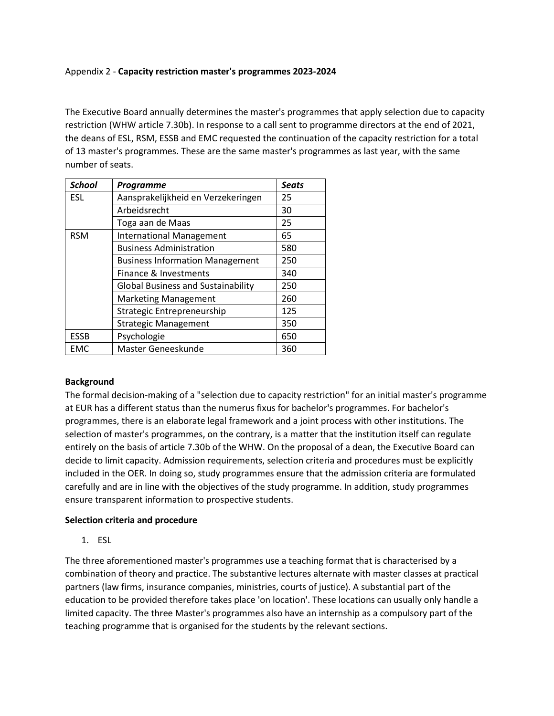### Appendix 2 - **Capacity restriction master's programmes 2023-2024**

The Executive Board annually determines the master's programmes that apply selection due to capacity restriction (WHW article 7.30b). In response to a call sent to programme directors at the end of 2021, the deans of ESL, RSM, ESSB and EMC requested the continuation of the capacity restriction for a total of 13 master's programmes. These are the same master's programmes as last year, with the same number of seats.

| <b>School</b> | Programme                                 | <b>Seats</b> |
|---------------|-------------------------------------------|--------------|
| <b>ESL</b>    | Aansprakelijkheid en Verzekeringen        | 25           |
|               | Arbeidsrecht                              | 30           |
|               | Toga aan de Maas                          | 25           |
| <b>RSM</b>    | <b>International Management</b>           | 65           |
|               | <b>Business Administration</b>            | 580          |
|               | <b>Business Information Management</b>    | 250          |
|               | Finance & Investments                     | 340          |
|               | <b>Global Business and Sustainability</b> | 250          |
|               | <b>Marketing Management</b>               | 260          |
|               | Strategic Entrepreneurship                | 125          |
|               | <b>Strategic Management</b>               | 350          |
| <b>ESSB</b>   | Psychologie                               | 650          |
| EMC           | Master Geneeskunde                        | 360          |

### **Background**

The formal decision-making of a "selection due to capacity restriction" for an initial master's programme at EUR has a different status than the numerus fixus for bachelor's programmes. For bachelor's programmes, there is an elaborate legal framework and a joint process with other institutions. The selection of master's programmes, on the contrary, is a matter that the institution itself can regulate entirely on the basis of article 7.30b of the WHW. On the proposal of a dean, the Executive Board can decide to limit capacity. Admission requirements, selection criteria and procedures must be explicitly included in the OER. In doing so, study programmes ensure that the admission criteria are formulated carefully and are in line with the objectives of the study programme. In addition, study programmes ensure transparent information to prospective students.

### **Selection criteria and procedure**

1. ESL

The three aforementioned master's programmes use a teaching format that is characterised by a combination of theory and practice. The substantive lectures alternate with master classes at practical partners (law firms, insurance companies, ministries, courts of justice). A substantial part of the education to be provided therefore takes place 'on location'. These locations can usually only handle a limited capacity. The three Master's programmes also have an internship as a compulsory part of the teaching programme that is organised for the students by the relevant sections.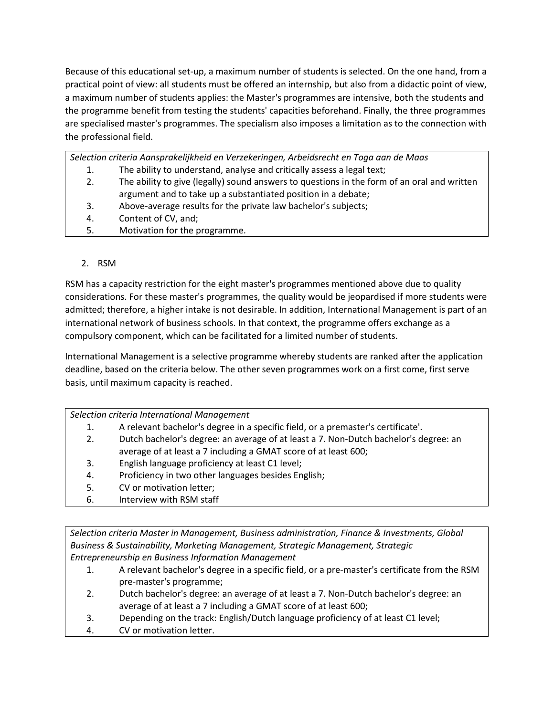Because of this educational set-up, a maximum number of students is selected. On the one hand, from a practical point of view: all students must be offered an internship, but also from a didactic point of view, a maximum number of students applies: the Master's programmes are intensive, both the students and the programme benefit from testing the students' capacities beforehand. Finally, the three programmes are specialised master's programmes. The specialism also imposes a limitation as to the connection with the professional field.

*Selection criteria Aansprakelijkheid en Verzekeringen, Arbeidsrecht en Toga aan de Maas*

- 1. The ability to understand, analyse and critically assess a legal text;
- 2. The ability to give (legally) sound answers to questions in the form of an oral and written argument and to take up a substantiated position in a debate;
- 3. Above-average results for the private law bachelor's subjects;
- 4. Content of CV, and;
- 5. Motivation for the programme.

# 2. RSM

RSM has a capacity restriction for the eight master's programmes mentioned above due to quality considerations. For these master's programmes, the quality would be jeopardised if more students were admitted; therefore, a higher intake is not desirable. In addition, International Management is part of an international network of business schools. In that context, the programme offers exchange as a compulsory component, which can be facilitated for a limited number of students.

International Management is a selective programme whereby students are ranked after the application deadline, based on the criteria below. The other seven programmes work on a first come, first serve basis, until maximum capacity is reached.

*Selection criteria International Management* 

- 1. A relevant bachelor's degree in a specific field, or a premaster's certificate'.
- 2. Dutch bachelor's degree: an average of at least a 7. Non-Dutch bachelor's degree: an average of at least a 7 including a GMAT score of at least 600;
- 3. English language proficiency at least C1 level;
- 4. Proficiency in two other languages besides English;
- 5. CV or motivation letter;
- 6. Interview with RSM staff

*Selection criteria Master in Management, Business administration, Finance & Investments, Global Business & Sustainability, Marketing Management, Strategic Management, Strategic Entrepreneurship en Business Information Management*

- 1. A relevant bachelor's degree in a specific field, or a pre-master's certificate from the RSM pre-master's programme;
- 2. Dutch bachelor's degree: an average of at least a 7. Non-Dutch bachelor's degree: an average of at least a 7 including a GMAT score of at least 600;
- 3. Depending on the track: English/Dutch language proficiency of at least C1 level;
- 4. CV or motivation letter.